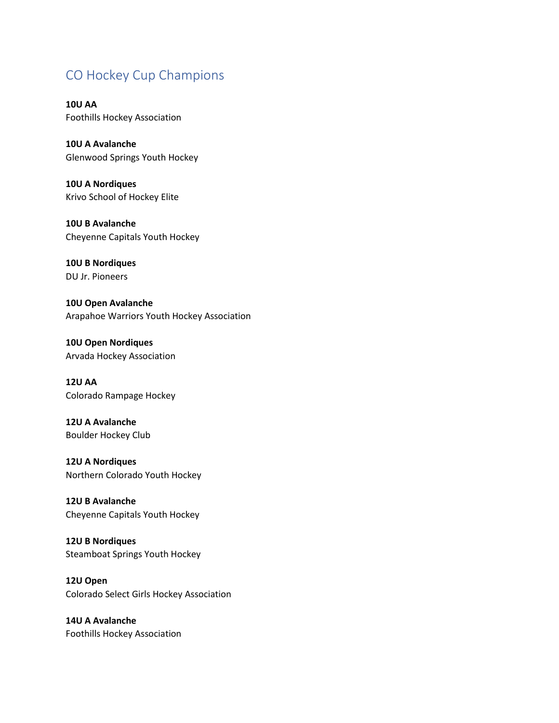## CO Hockey Cup Champions

**10U AA** Foothills Hockey Association

**10U A Avalanche** Glenwood Springs Youth Hockey

**10U A Nordiques** Krivo School of Hockey Elite

**10U B Avalanche** Cheyenne Capitals Youth Hockey

**10U B Nordiques** DU Jr. Pioneers

**10U Open Avalanche** Arapahoe Warriors Youth Hockey Association

**10U Open Nordiques** Arvada Hockey Association

**12U AA** Colorado Rampage Hockey

**12U A Avalanche** Boulder Hockey Club

**12U A Nordiques** Northern Colorado Youth Hockey

**12U B Avalanche** Cheyenne Capitals Youth Hockey

**12U B Nordiques** Steamboat Springs Youth Hockey

**12U Open** Colorado Select Girls Hockey Association

**14U A Avalanche** Foothills Hockey Association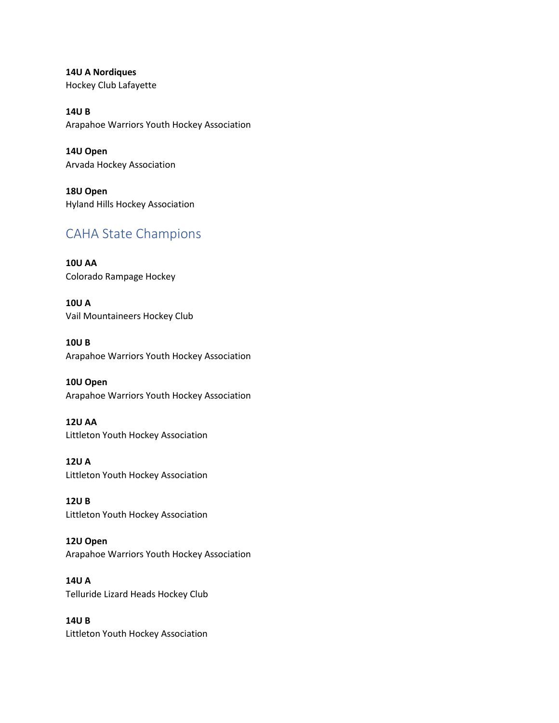**14U A Nordiques** Hockey Club Lafayette

**14U B** Arapahoe Warriors Youth Hockey Association

**14U Open** Arvada Hockey Association

**18U Open** Hyland Hills Hockey Association

## CAHA State Champions

**10U AA** Colorado Rampage Hockey

**10U A** Vail Mountaineers Hockey Club

**10U B** Arapahoe Warriors Youth Hockey Association

**10U Open** Arapahoe Warriors Youth Hockey Association

**12U AA** Littleton Youth Hockey Association

**12U A** Littleton Youth Hockey Association

**12U B** Littleton Youth Hockey Association

**12U Open** Arapahoe Warriors Youth Hockey Association

**14U A** Telluride Lizard Heads Hockey Club

**14U B** Littleton Youth Hockey Association